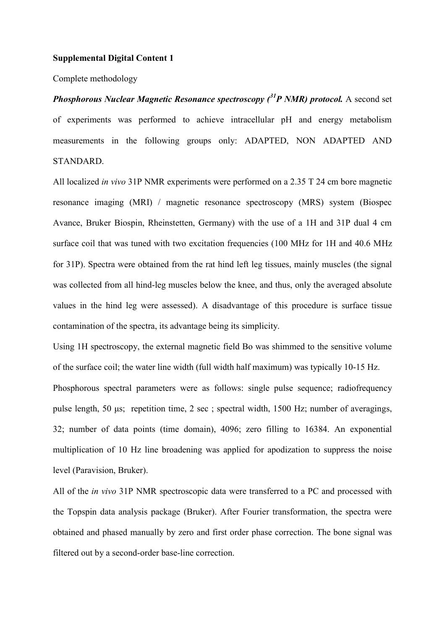## **Supplemental Digital Content 1**

Complete methodology

*Phosphorous Nuclear Magnetic Resonance spectroscopy (<sup>31</sup>P NMR) protocol.* A second set of experiments was performed to achieve intracellular pH and energy metabolism measurements in the following groups only: ADAPTED, NON ADAPTED AND STANDARD.

All localized *in vivo* 31P NMR experiments were performed on a 2.35 T 24 cm bore magnetic resonance imaging (MRI) / magnetic resonance spectroscopy (MRS) system (Biospec Avance, Bruker Biospin, Rheinstetten, Germany) with the use of a 1H and 31P dual 4 cm surface coil that was tuned with two excitation frequencies (100 MHz for 1H and 40.6 MHz for 31P). Spectra were obtained from the rat hind left leg tissues, mainly muscles (the signal was collected from all hind-leg muscles below the knee, and thus, only the averaged absolute values in the hind leg were assessed). A disadvantage of this procedure is surface tissue contamination of the spectra, its advantage being its simplicity.

Using 1H spectroscopy, the external magnetic field Bo was shimmed to the sensitive volume of the surface coil; the water line width (full width half maximum) was typically 10-15 Hz.

Phosphorous spectral parameters were as follows: single pulse sequence; radiofrequency pulse length, 50 μs; repetition time, 2 sec ; spectral width, 1500 Hz; number of averagings, 32; number of data points (time domain), 4096; zero filling to 16384. An exponential multiplication of 10 Hz line broadening was applied for apodization to suppress the noise level (Paravision, Bruker).

All of the *in vivo* 31P NMR spectroscopic data were transferred to a PC and processed with the Topspin data analysis package (Bruker). After Fourier transformation, the spectra were obtained and phased manually by zero and first order phase correction. The bone signal was filtered out by a second-order base-line correction.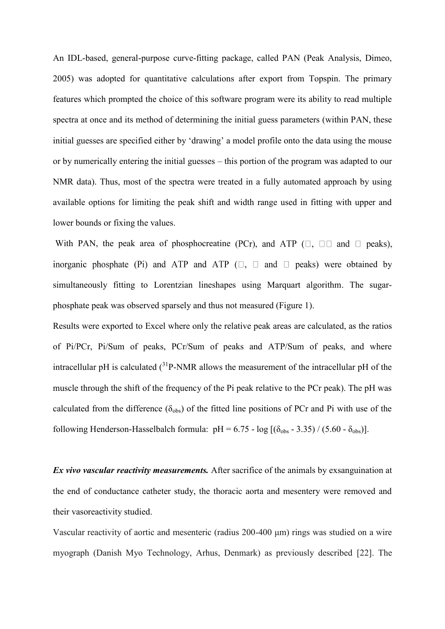An IDL-based, general-purpose curve-fitting package, called PAN (Peak Analysis, Dimeo, 2005) was adopted for quantitative calculations after export from Topspin. The primary features which prompted the choice of this software program were its ability to read multiple spectra at once and its method of determining the initial guess parameters (within PAN, these initial guesses are specified either by 'drawing' a model profile onto the data using the mouse or by numerically entering the initial guesses – this portion of the program was adapted to our NMR data). Thus, most of the spectra were treated in a fully automated approach by using available options for limiting the peak shift and width range used in fitting with upper and lower bounds or fixing the values.

With PAN, the peak area of phosphocreatine (PCr), and ATP  $(\square, \square \square$  and  $\square$  peaks), inorganic phosphate (Pi) and ATP and ATP  $(\square, \square \text{ and } \square \text{ peaks})$  were obtained by simultaneously fitting to Lorentzian lineshapes using Marquart algorithm. The sugarphosphate peak was observed sparsely and thus not measured (Figure 1).

Results were exported to Excel where only the relative peak areas are calculated, as the ratios of Pi/PCr, Pi/Sum of peaks, PCr/Sum of peaks and ATP/Sum of peaks, and where intracellular pH is calculated  $(^{31}P\text{-NMR}$  allows the measurement of the intracellular pH of the muscle through the shift of the frequency of the Pi peak relative to the PCr peak). The pH was calculated from the difference  $(\delta_{obs})$  of the fitted line positions of PCr and Pi with use of the following Henderson-Hasselbalch formula:  $pH = 6.75 - log [(δ<sub>obs</sub> - 3.35) / (5.60 - δ<sub>obs</sub>)].$ 

*Ex vivo vascular reactivity measurements.* After sacrifice of the animals by exsanguination at the end of conductance catheter study, the thoracic aorta and mesentery were removed and their vasoreactivity studied.

Vascular reactivity of aortic and mesenteric (radius 200-400 μm) rings was studied on a wire myograph (Danish Myo Technology, Arhus, Denmark) as previously described [22]. The